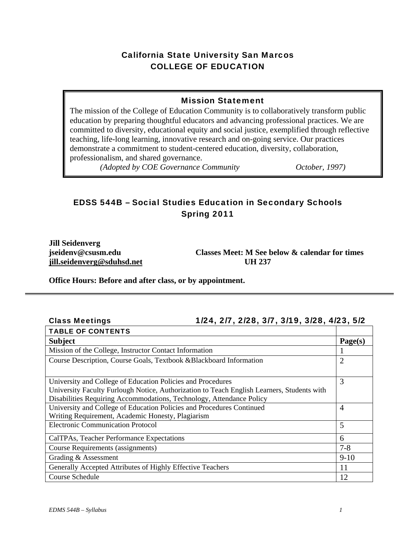# California State University San Marcos COLLEGE OF EDUCATION

### Mission Statement

The mission of the College of Education Community is to collaboratively transform public education by preparing thoughtful educators and advancing professional practices. We are committed to diversity, educational equity and social justice, exemplified through reflective teaching, life-long learning, innovative research and on-going service. Our practices demonstrate a commitment to student-centered education, diversity, collaboration, professionalism, and shared governance.

*(Adopted by COE Governance Community October, 1997)* 

# EDSS 544B – Social Studies Education in Secondary Schools Spring 2011

**Jill Seidenverg jill.seidenverg@sduhsd.net UH 237** 

**jseidenv@csusm.edu Classes Meet: M See below & calendar for times** 

**Office Hours: Before and after class, or by appointment.** 

| Culass Ivicetiilus<br>1124, 217, 2120, 317, 3117, 3120, 4123, 312                          |                |  |  |  |
|--------------------------------------------------------------------------------------------|----------------|--|--|--|
| <b>TABLE OF CONTENTS</b>                                                                   |                |  |  |  |
| <b>Subject</b>                                                                             | Page(s)        |  |  |  |
| Mission of the College, Instructor Contact Information                                     |                |  |  |  |
| Course Description, Course Goals, Textbook &Blackboard Information                         |                |  |  |  |
|                                                                                            |                |  |  |  |
| University and College of Education Policies and Procedures                                | 3              |  |  |  |
| University Faculty Furlough Notice, Authorization to Teach English Learners, Students with |                |  |  |  |
| Disabilities Requiring Accommodations, Technology, Attendance Policy                       |                |  |  |  |
| University and College of Education Policies and Procedures Continued                      | $\overline{4}$ |  |  |  |
| Writing Requirement, Academic Honesty, Plagiarism                                          |                |  |  |  |
| <b>Electronic Communication Protocol</b>                                                   | 5              |  |  |  |
| CalTPAs, Teacher Performance Expectations                                                  | 6              |  |  |  |
| Course Requirements (assignments)                                                          | $7 - 8$        |  |  |  |
| Grading & Assessment                                                                       | $9-10$         |  |  |  |
| Generally Accepted Attributes of Highly Effective Teachers                                 | 11             |  |  |  |
| Course Schedule                                                                            | 12             |  |  |  |

### Class Meetings 1/24, 2/7, 2/28, 3/7, 3/19, 3/28, 4/23, 5/2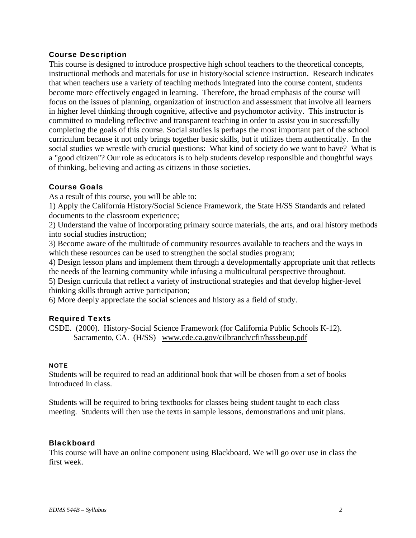### Course Description

This course is designed to introduce prospective high school teachers to the theoretical concepts, instructional methods and materials for use in history/social science instruction. Research indicates that when teachers use a variety of teaching methods integrated into the course content, students become more effectively engaged in learning. Therefore, the broad emphasis of the course will focus on the issues of planning, organization of instruction and assessment that involve all learners in higher level thinking through cognitive, affective and psychomotor activity. This instructor is committed to modeling reflective and transparent teaching in order to assist you in successfully completing the goals of this course. Social studies is perhaps the most important part of the school curriculum because it not only brings together basic skills, but it utilizes them authentically. In the social studies we wrestle with crucial questions: What kind of society do we want to have? What is a "good citizen"? Our role as educators is to help students develop responsible and thoughtful ways of thinking, believing and acting as citizens in those societies.

### Course Goals

As a result of this course, you will be able to:

1) Apply the California History/Social Science Framework, the State H/SS Standards and related documents to the classroom experience;

2) Understand the value of incorporating primary source materials, the arts, and oral history methods into social studies instruction;

3) Become aware of the multitude of community resources available to teachers and the ways in which these resources can be used to strengthen the social studies program;

4) Design lesson plans and implement them through a developmentally appropriate unit that reflects the needs of the learning community while infusing a multicultural perspective throughout.

5) Design curricula that reflect a variety of instructional strategies and that develop higher-level thinking skills through active participation;

6) More deeply appreciate the social sciences and history as a field of study.

### Required Texts

CSDE. (2000). History-Social Science Framework (for California Public Schools K-12). Sacramento, CA. (H/SS) www.cde.ca.gov/cilbranch/cfir/hsssbeup.pdf

#### **NOTE**

Students will be required to read an additional book that will be chosen from a set of books introduced in class.

Students will be required to bring textbooks for classes being student taught to each class meeting. Students will then use the texts in sample lessons, demonstrations and unit plans.

### **Blackboard**

This course will have an online component using Blackboard. We will go over use in class the first week.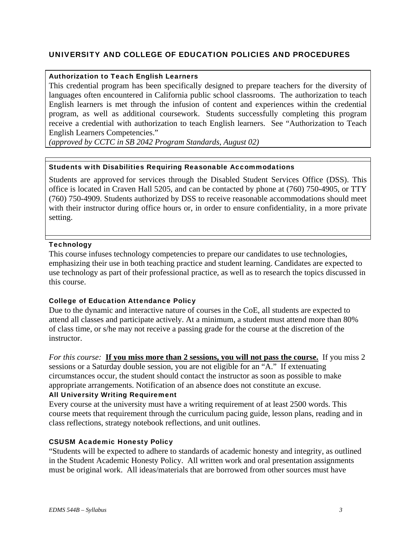### UNIVERSITY AND COLLEGE OF EDUCATION POLICIES AND PROCEDURES

#### Authorization to Teach English Learners

This credential program has been specifically designed to prepare teachers for the diversity of languages often encountered in California public school classrooms. The authorization to teach English learners is met through the infusion of content and experiences within the credential program, as well as additional coursework. Students successfully completing this program receive a credential with authorization to teach English learners. See "Authorization to Teach English Learners Competencies."

 *(approved by CCTC in SB 2042 Program Standards, August 02)* 

#### Students with Disabilities Requiring Reasonable Accommodations

Students are approved for services through the Disabled Student Services Office (DSS). This office is located in Craven Hall 5205, and can be contacted by phone at (760) 750-4905, or TTY (760) 750-4909. Students authorized by DSS to receive reasonable accommodations should meet with their instructor during office hours or, in order to ensure confidentiality, in a more private setting.

#### **Technology**

This course infuses technology competencies to prepare our candidates to use technologies, emphasizing their use in both teaching practice and student learning. Candidates are expected to use technology as part of their professional practice, as well as to research the topics discussed in this course.

#### College of Education Attendance Policy

Due to the dynamic and interactive nature of courses in the CoE, all students are expected to attend all classes and participate actively. At a minimum, a student must attend more than 80% of class time, or s/he may not receive a passing grade for the course at the discretion of the instructor.

*For this course:* **<u>If you miss more than 2 sessions, you will not pass the course.</u> If you miss 2** sessions or a Saturday double session, you are not eligible for an "A." If extenuating circumstances occur, the student should contact the instructor as soon as possible to make appropriate arrangements. Notification of an absence does not constitute an excuse.

### All University Writing Requirement

Every course at the university must have a writing requirement of at least 2500 words. This course meets that requirement through the curriculum pacing guide, lesson plans, reading and in class reflections, strategy notebook reflections, and unit outlines.

#### CSUSM Academic Honesty Policy

"Students will be expected to adhere to standards of academic honesty and integrity, as outlined in the Student Academic Honesty Policy. All written work and oral presentation assignments must be original work. All ideas/materials that are borrowed from other sources must have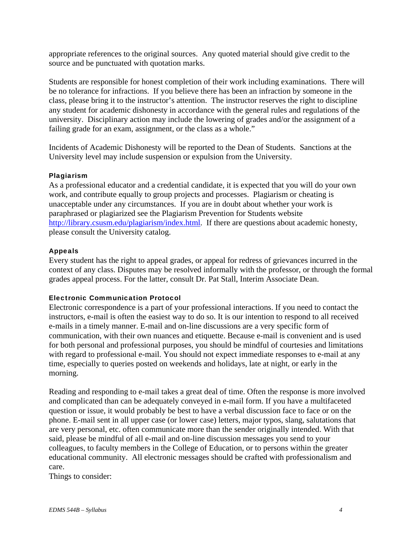appropriate references to the original sources. Any quoted material should give credit to the source and be punctuated with quotation marks.

Students are responsible for honest completion of their work including examinations. There will be no tolerance for infractions. If you believe there has been an infraction by someone in the class, please bring it to the instructor's attention. The instructor reserves the right to discipline any student for academic dishonesty in accordance with the general rules and regulations of the university. Disciplinary action may include the lowering of grades and/or the assignment of a failing grade for an exam, assignment, or the class as a whole."

Incidents of Academic Dishonesty will be reported to the Dean of Students. Sanctions at the University level may include suspension or expulsion from the University.

#### Plagiarism

As a professional educator and a credential candidate, it is expected that you will do your own work, and contribute equally to group projects and processes. Plagiarism or cheating is unacceptable under any circumstances. If you are in doubt about whether your work is paraphrased or plagiarized see the Plagiarism Prevention for Students website http://library.csusm.edu/plagiarism/index.html. If there are questions about academic honesty, please consult the University catalog.

#### Appeals

Every student has the right to appeal grades, or appeal for redress of grievances incurred in the context of any class. Disputes may be resolved informally with the professor, or through the formal grades appeal process. For the latter, consult Dr. Pat Stall, Interim Associate Dean.

#### Electronic Communication Protocol

Electronic correspondence is a part of your professional interactions. If you need to contact the instructors, e-mail is often the easiest way to do so. It is our intention to respond to all received e-mails in a timely manner. E-mail and on-line discussions are a very specific form of communication, with their own nuances and etiquette. Because e-mail is convenient and is used for both personal and professional purposes, you should be mindful of courtesies and limitations with regard to professional e-mail. You should not expect immediate responses to e-mail at any time, especially to queries posted on weekends and holidays, late at night, or early in the morning.

Reading and responding to e-mail takes a great deal of time. Often the response is more involved and complicated than can be adequately conveyed in e-mail form. If you have a multifaceted question or issue, it would probably be best to have a verbal discussion face to face or on the phone. E-mail sent in all upper case (or lower case) letters, major typos, slang, salutations that are very personal, etc. often communicate more than the sender originally intended. With that said, please be mindful of all e-mail and on-line discussion messages you send to your colleagues, to faculty members in the College of Education, or to persons within the greater educational community. All electronic messages should be crafted with professionalism and care.

Things to consider: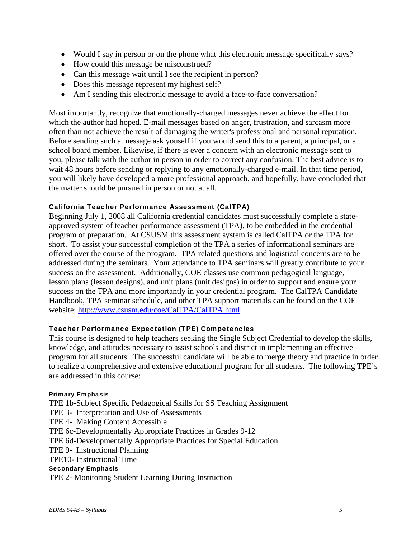- Would I say in person or on the phone what this electronic message specifically says?
- How could this message be misconstrued?
- Can this message wait until I see the recipient in person?
- Does this message represent my highest self?
- Am I sending this electronic message to avoid a face-to-face conversation?

Most importantly, recognize that emotionally-charged messages never achieve the effect for which the author had hoped. E-mail messages based on anger, frustration, and sarcasm more often than not achieve the result of damaging the writer's professional and personal reputation. Before sending such a message ask youself if you would send this to a parent, a principal, or a school board member. Likewise, if there is ever a concern with an electronic message sent to you, please talk with the author in person in order to correct any confusion. The best advice is to wait 48 hours before sending or replying to any emotionally-charged e-mail. In that time period, you will likely have developed a more professional approach, and hopefully, have concluded that the matter should be pursued in person or not at all.

### California Teacher Performance Assessment (CalTPA)

Beginning July 1, 2008 all California credential candidates must successfully complete a stateapproved system of teacher performance assessment (TPA), to be embedded in the credential program of preparation. At CSUSM this assessment system is called CalTPA or the TPA for short. To assist your successful completion of the TPA a series of informational seminars are offered over the course of the program. TPA related questions and logistical concerns are to be addressed during the seminars. Your attendance to TPA seminars will greatly contribute to your success on the assessment. Additionally, COE classes use common pedagogical language, lesson plans (lesson designs), and unit plans (unit designs) in order to support and ensure your success on the TPA and more importantly in your credential program. The CalTPA Candidate Handbook, TPA seminar schedule, and other TPA support materials can be found on the COE website: http://www.csusm.edu/coe/CalTPA/CalTPA.html

### Teacher Performance Expectation (TPE) Competencies

This course is designed to help teachers seeking the Single Subject Credential to develop the skills, knowledge, and attitudes necessary to assist schools and district in implementing an effective program for all students. The successful candidate will be able to merge theory and practice in order to realize a comprehensive and extensive educational program for all students. The following TPE's are addressed in this course:

#### Primary Emphasis

 TPE10- Instructional Time TPE 1b-Subject Specific Pedagogical Skills for SS Teaching Assignment TPE 3- Interpretation and Use of Assessments TPE 4- Making Content Accessible TPE 6c-Developmentally Appropriate Practices in Grades 9-12 TPE 6d-Developmentally Appropriate Practices for Special Education TPE 9- Instructional Planning Secondary Emphasis TPE 2- Monitoring Student Learning During Instruction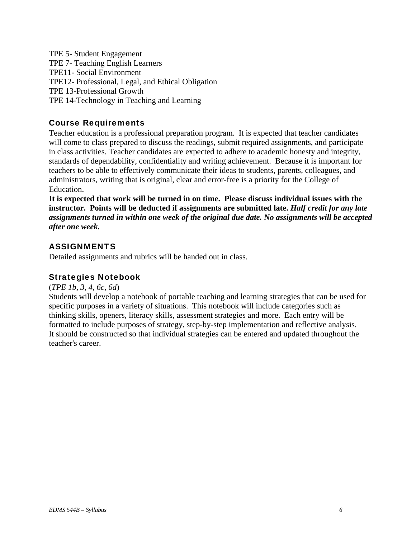TPE 5- Student Engagement TPE 7- Teaching English Learners TPE11- Social Environment TPE12- Professional, Legal, and Ethical Obligation TPE 13-Professional Growth TPE 14-Technology in Teaching and Learning

### Course Requirements

Teacher education is a professional preparation program. It is expected that teacher candidates will come to class prepared to discuss the readings, submit required assignments, and participate in class activities. Teacher candidates are expected to adhere to academic honesty and integrity, standards of dependability, confidentiality and writing achievement. Because it is important for teachers to be able to effectively communicate their ideas to students, parents, colleagues, and administrators, writing that is original, clear and error-free is a priority for the College of Education.

 *after one week.* **It is expected that work will be turned in on time. Please discuss individual issues with the instructor. Points will be deducted if assignments are submitted late.** *Half credit for any late assignments turned in within one week of the original due date. No assignments will be accepted* 

### ASSIGNMENTS

Detailed assignments and rubrics will be handed out in class.

### Strategies Notebook

### (*TPE 1b, 3, 4, 6c, 6d*)

Students will develop a notebook of portable teaching and learning strategies that can be used for specific purposes in a variety of situations. This notebook will include categories such as thinking skills, openers, literacy skills, assessment strategies and more. Each entry will be formatted to include purposes of strategy, step-by-step implementation and reflective analysis. It should be constructed so that individual strategies can be entered and updated throughout the teacher's career.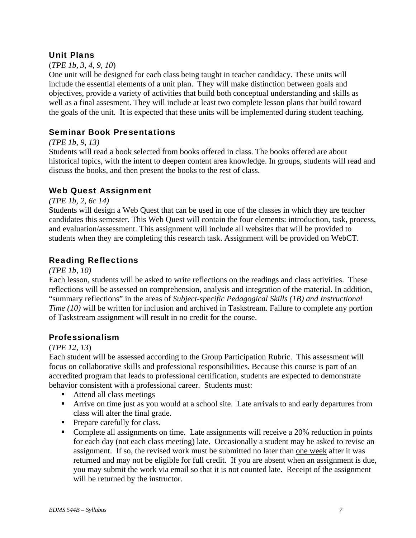### Unit Plans

### (*TPE 1b, 3, 4, 9, 10*)

One unit will be designed for each class being taught in teacher candidacy. These units will include the essential elements of a unit plan. They will make distinction between goals and objectives, provide a variety of activities that build both conceptual understanding and skills as well as a final assesment. They will include at least two complete lesson plans that build toward the goals of the unit. It is expected that these units will be implemented during student teaching.

### Seminar Book Presentations

### *(TPE 1b, 9, 13)*

Students will read a book selected from books offered in class. The books offered are about historical topics, with the intent to deepen content area knowledge. In groups, students will read and discuss the books, and then present the books to the rest of class.

### Web Quest Assignment

*(TPE 1b, 2, 6c 14)* 

Students will design a Web Quest that can be used in one of the classes in which they are teacher candidates this semester. This Web Quest will contain the four elements: introduction, task, process, and evaluation/assessment. This assignment will include all websites that will be provided to students when they are completing this research task. Assignment will be provided on WebCT.

### Reading Reflections

### *(TPE 1b, 10)*

Each lesson, students will be asked to write reflections on the readings and class activities. These reflections will be assessed on comprehension, analysis and integration of the material. In addition, "summary reflections" in the areas of *Subject-specific Pedagogical Skills (1B) and Instructional Time (10)* will be written for inclusion and archived in Taskstream. Failure to complete any portion of Taskstream assignment will result in no credit for the course.

### Professionalism

### (*TPE 12, 13*)

Each student will be assessed according to the Group Participation Rubric. This assessment will focus on collaborative skills and professional responsibilities. Because this course is part of an accredited program that leads to professional certification, students are expected to demonstrate behavior consistent with a professional career. Students must:

- Attend all class meetings
- Arrive on time just as you would at a school site. Late arrivals to and early departures from class will alter the final grade.
- Prepare carefully for class.
- Complete all assignments on time. Late assignments will receive a 20% reduction in points for each day (not each class meeting) late. Occasionally a student may be asked to revise an assignment. If so, the revised work must be submitted no later than one week after it was returned and may not be eligible for full credit. If you are absent when an assignment is due, you may submit the work via email so that it is not counted late. Receipt of the assignment will be returned by the instructor.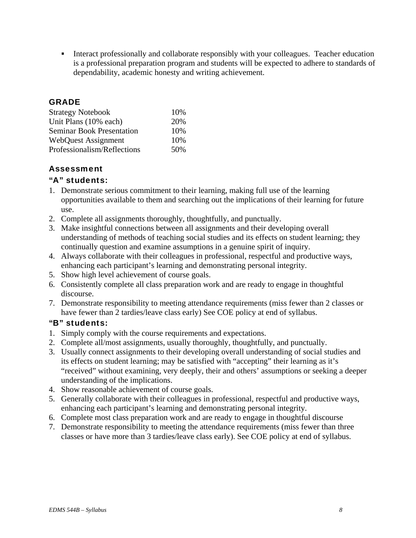Interact professionally and collaborate responsibly with your colleagues. Teacher education is a professional preparation program and students will be expected to adhere to standards of dependability, academic honesty and writing achievement.

### GRADE

| <b>Strategy Notebook</b>         | 10% |
|----------------------------------|-----|
| Unit Plans (10% each)            | 20% |
| <b>Seminar Book Presentation</b> | 10% |
| <b>WebQuest Assignment</b>       | 10% |
| Professionalism/Reflections      | 50% |

### Assessment

### "A" students:

- 1. Demonstrate serious commitment to their learning, making full use of the learning opportunities available to them and searching out the implications of their learning for future use.
- 2. Complete all assignments thoroughly, thoughtfully, and punctually.
- 3. Make insightful connections between all assignments and their developing overall understanding of methods of teaching social studies and its effects on student learning; they continually question and examine assumptions in a genuine spirit of inquiry.
- 4. Always collaborate with their colleagues in professional, respectful and productive ways, enhancing each participant's learning and demonstrating personal integrity.
- 5. Show high level achievement of course goals.
- 6. Consistently complete all class preparation work and are ready to engage in thoughtful discourse.
- 7. Demonstrate responsibility to meeting attendance requirements (miss fewer than 2 classes or have fewer than 2 tardies/leave class early) See COE policy at end of syllabus.

### "B" students:

- 1. Simply comply with the course requirements and expectations.
- 2. Complete all/most assignments, usually thoroughly, thoughtfully, and punctually.
- 3. Usually connect assignments to their developing overall understanding of social studies and its effects on student learning; may be satisfied with "accepting" their learning as it's "received" without examining, very deeply, their and others' assumptions or seeking a deeper understanding of the implications.
- 4. Show reasonable achievement of course goals.
- 5. Generally collaborate with their colleagues in professional, respectful and productive ways, enhancing each participant's learning and demonstrating personal integrity.
- 6. Complete most class preparation work and are ready to engage in thoughtful discourse
- 7. Demonstrate responsibility to meeting the attendance requirements (miss fewer than three classes or have more than 3 tardies/leave class early). See COE policy at end of syllabus.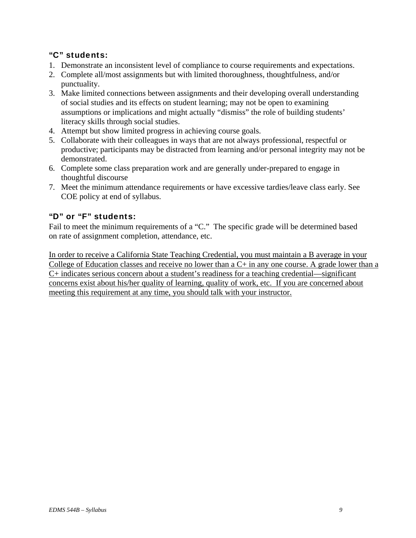### "C" students:

- 1. Demonstrate an inconsistent level of compliance to course requirements and expectations.
- 2. Complete all/most assignments but with limited thoroughness, thoughtfulness, and/or punctuality.
- 3. Make limited connections between assignments and their developing overall understanding of social studies and its effects on student learning; may not be open to examining assumptions or implications and might actually "dismiss" the role of building students' literacy skills through social studies.
- 4. Attempt but show limited progress in achieving course goals.
- 5. Collaborate with their colleagues in ways that are not always professional, respectful or productive; participants may be distracted from learning and/or personal integrity may not be demonstrated.
- 6. Complete some class preparation work and are generally under-prepared to engage in thoughtful discourse
- 7. Meet the minimum attendance requirements or have excessive tardies/leave class early. See COE policy at end of syllabus.

### "D" or "F" students:

Fail to meet the minimum requirements of a "C." The specific grade will be determined based on rate of assignment completion, attendance, etc.

In order to receive a California State Teaching Credential, you must maintain a B average in your College of Education classes and receive no lower than a C+ in any one course. A grade lower than a C+ indicates serious concern about a student's readiness for a teaching credential—significant concerns exist about his/her quality of learning, quality of work, etc. If you are concerned about meeting this requirement at any time, you should talk with your instructor.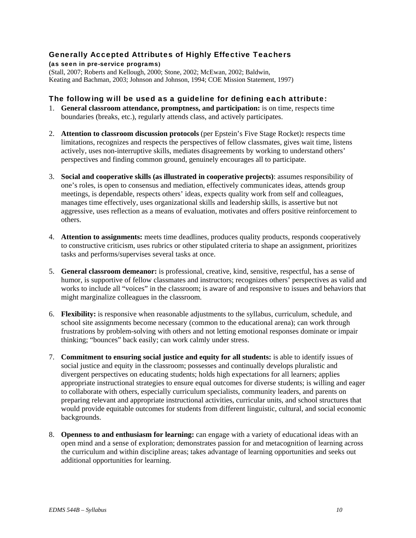### Generally Accepted Attributes of Highly Effective Teachers

(as seen in pre-service programs**)**  (Stall, 2007; Roberts and Kellough, 2000; Stone, 2002; McEwan, 2002; Baldwin, Keating and Bachman, 2003; Johnson and Johnson, 1994; COE Mission Statement, 1997)

#### The following will be used as a guideline for defining each attribute:

- 1. **General classroom attendance, promptness, and participation:** is on time, respects time boundaries (breaks, etc.), regularly attends class, and actively participates.
- 2. **Attention to classroom discussion protocols** (per Epstein's Five Stage Rocket)**:** respects time limitations, recognizes and respects the perspectives of fellow classmates, gives wait time, listens actively, uses non-interruptive skills, mediates disagreements by working to understand others' perspectives and finding common ground, genuinely encourages all to participate.
- 3. **Social and cooperative skills (as illustrated in cooperative projects)**: assumes responsibility of one's roles, is open to consensus and mediation, effectively communicates ideas, attends group meetings, is dependable, respects others' ideas, expects quality work from self and colleagues, manages time effectively, uses organizational skills and leadership skills, is assertive but not aggressive, uses reflection as a means of evaluation, motivates and offers positive reinforcement to others.
- 4. **Attention to assignments:** meets time deadlines, produces quality products, responds cooperatively to constructive criticism, uses rubrics or other stipulated criteria to shape an assignment, prioritizes tasks and performs/supervises several tasks at once.
- 5. **General classroom demeanor:** is professional, creative, kind, sensitive, respectful, has a sense of humor, is supportive of fellow classmates and instructors; recognizes others' perspectives as valid and works to include all "voices" in the classroom; is aware of and responsive to issues and behaviors that might marginalize colleagues in the classroom.
- 6. **Flexibility:** is responsive when reasonable adjustments to the syllabus, curriculum, schedule, and school site assignments become necessary (common to the educational arena); can work through frustrations by problem-solving with others and not letting emotional responses dominate or impair thinking; "bounces" back easily; can work calmly under stress.
- 7. **Commitment to ensuring social justice and equity for all students:** is able to identify issues of social justice and equity in the classroom; possesses and continually develops pluralistic and divergent perspectives on educating students; holds high expectations for all learners; applies appropriate instructional strategies to ensure equal outcomes for diverse students; is willing and eager to collaborate with others, especially curriculum specialists, community leaders, and parents on preparing relevant and appropriate instructional activities, curricular units, and school structures that would provide equitable outcomes for students from different linguistic, cultural, and social economic backgrounds.
- 8. **Openness to and enthusiasm for learning:** can engage with a variety of educational ideas with an open mind and a sense of exploration; demonstrates passion for and metacognition of learning across the curriculum and within discipline areas; takes advantage of learning opportunities and seeks out additional opportunities for learning.